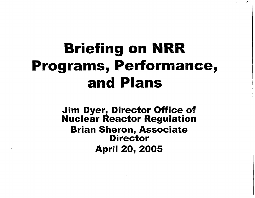## Briefing on NRR Programs, Performance, and Plans

Jim Dyer, Director Office of Nuclear Reactor Regulation Brian Sheron, Associate **Director** April 20, 2005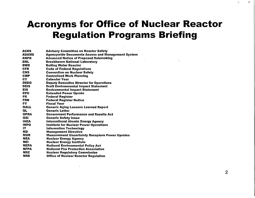#### Acronyms for Office of Nuclear Reactor Regulation Programs Briefing

| ACRS        | <b>Advisory Committee on Reactor Safety</b>              |
|-------------|----------------------------------------------------------|
| ADAMS       | <b>Agencywide Documents Access and Management System</b> |
| ANPR        | <b>Advanced Notice of Proposed Rulemaking</b>            |
| BNL         | <b>Brookhaven National Laboratory</b>                    |
| <b>BWR</b>  | <b>Boiling Water Reactor</b>                             |
| <b>CFR</b>  | <b>Code of Federal Regulations</b>                       |
| <b>CNS</b>  | <b>Convention on Nuclear Safety</b>                      |
| <b>CWP</b>  | <b>Centralized Work Planning</b>                         |
| <b>CY</b>   | <b>Calendar Year</b>                                     |
| <b>DEDO</b> | <b>Deputy Executive Director for Operations</b>          |
| <b>DEIS</b> | <b>Draft Environmental Impact Statement</b>              |
| EIS.        | <b>Environmental Impact Statement</b>                    |
| <b>EPU</b>  | <b>Extended Power Uprate</b>                             |
| <b>FR</b>   | <b>Federal Register</b>                                  |
| <b>FRN</b>  | <b>Federal Register Notice</b>                           |
| FY.         | <b>Fiscal Year</b>                                       |
| <b>GALL</b> | <b>Generic Aging Lessons Learned Report</b>              |
| GL          | <b>Generic Letter</b>                                    |
| <b>GPRA</b> | <b>Government Performance and Results Act</b>            |
| GSI         | <b>Generic Safety Issue</b>                              |
| <b>IAEA</b> | <b>International Atomic Energy Agency</b>                |
| <b>INPO</b> | <b>Institute for Nuclear Power Operations</b>            |
| IT          | <b>Information Technology</b>                            |
| <b>MD</b>   | <b>Management Directive</b>                              |
| <b>MUR</b>  | <b>Measurement Uncertainty Recapture Power Uprates</b>   |
| <b>NEA</b>  | <b>Nuclear Energy Agency</b>                             |
| <b>NEI</b>  | <b>Nuclear Energy Institute</b>                          |
| <b>NEPA</b> | <b>National Environmental Policy Act</b>                 |
| <b>NFPA</b> | <b>National Fire Protection Association</b>              |
| <b>NRC</b>  | <b>Nuclear Regulatory Commission</b>                     |
| <b>NRR</b>  | <b>Office of Nuclear Reactor Regulation</b>              |
|             |                                                          |

 $\ddot{\phantom{a}}$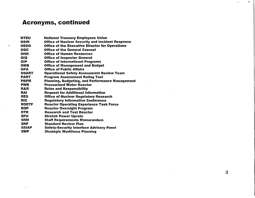#### Acronyms, continued

 $\sim 100$ 

| <b>NTEU</b>  | <b>National Treasury Employees Union</b>                |
|--------------|---------------------------------------------------------|
| <b>NSIR</b>  | <b>Office of Nuclear Security and Incident Response</b> |
| <b>OEDO</b>  | <b>Office of the Executive Director for Operations</b>  |
| OGC          | <b>Office of the General Counsel</b>                    |
| OHR          | Office of Human Resources                               |
| <b>OIG</b>   | <b>Office of Inspector General</b>                      |
| <b>OIP</b>   | <b>Office of International Programs</b>                 |
| <b>OMB</b>   | <b>Office of Management and Budget</b>                  |
| <b>OPA</b>   | <b>Office of Public Affairs</b>                         |
| OSART        | <b>Operational Safety Assessment Review Team</b>        |
| <b>PART</b>  | <b>Program Assessment Rating Tool</b>                   |
| <b>PBPM</b>  | <b>Planning, Budgeting, and Performance Managemen</b>   |
| <b>PWR</b>   | <b>Pressurized Water Reactor</b>                        |
| R&R          | <b>Roles and Responsibility</b>                         |
| <b>RAI</b>   | <b>Request for Additional Information</b>               |
| <b>RES</b>   | <b>Office of Nuclear Regulatory Research</b>            |
| <b>RIC</b>   | <b>Regulatory Information Conference</b>                |
| <b>ROETF</b> | <b>Reactor Operating Experience Task Force</b>          |
| <b>ROP</b>   | <b>Reactor Oversight Program</b>                        |
| <b>RTR</b>   | <b>Research and Test Reactor</b>                        |
| <b>SPU</b>   | <b>Stretch Power Uprate</b>                             |
| <b>SRM</b>   | <b>Staff Requirements Memorandum</b>                    |
| <b>SRP</b>   | <b>Standard Review Plan</b>                             |
| <b>SSIAP</b> | <b>Safety-Security Interface Advisory Panel</b>         |
| <b>SWP</b>   | <b>Strategic Workforce Planning</b>                     |
|              |                                                         |

 $\bullet$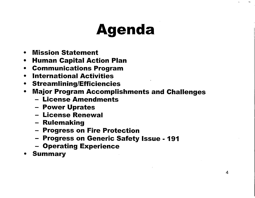## **Agenda**

- **\*** Mission Statement
- **\*** Human Capital Action Plan
- **\*** Communications Program
- **\*** International Activities
- **\*** Streamlining/Efficiencies
- **\*** Major Program Accomplishments and Challenges
	- License Amendments
	- Power Uprates
	- License Renewal
	- Rulemaking
	- Progress on Fire Protection
	- Progress on Generic Safety Issue 191
	- Operating Experience
- **\*** Summary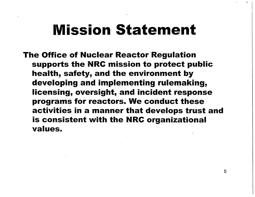#### Mission **Statement**

The Office of Nuclear Reactor Regulation supports the NRC mission to protect public health, safety, and the environment by developing and implementing rulemaking, licensing, oversight, and incident response programs for reactors. We conduct these activities in a manner that develops trust and is consistent with the NRC organizational values.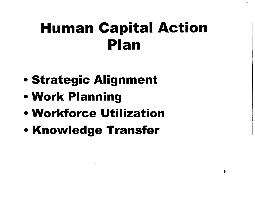## **Human Capital Action Plan**

- **\*** Strategic Alignment
- **\*** Work Planning
- **\*** Workforce Utilization
- **\*** Knowledge Transfer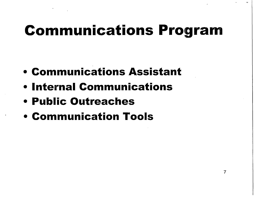## Communications **Program**

- **\*** Communications Assistant
- **\*** Internal Communications
- **\*** Public Outreaches
- **\*** Communication **Tools**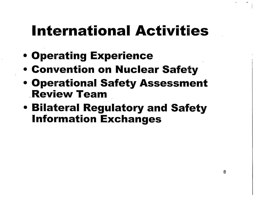## International Activities

- **\*** Operating Experience
- **\*** Convention on Nuclear Safety
- **\*** Operational Safety Assessment Review Team
- **\*** Bilateral Regulatory and Safety Information Exchanges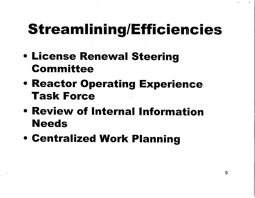## **Streamlining/Efficiencies**

- **\*** License Renewal Steering Committee
- **\*** Reactor Operating Experience Task Force
- \* Review of Internal Information **Needs**
- **\*** Centralized Work Planning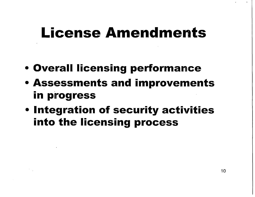#### License **Amendments**

- **\*** Overall licensing performance
- **\*** Assessments and improvements in progress
- **\*** Integration of security activities into the licensing process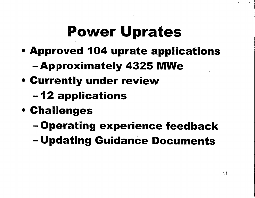## **Power Uprates**

- **\*** Approved 104 uprate applications
	- -Approximately 4325 **MWe**
- **\*** Currently under review
	- **-12** applications
- **\*** Challenges
	- -Operating experience feedback
	- Updating Guidance Documents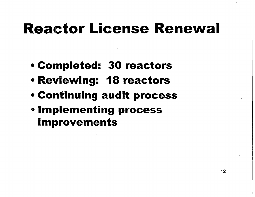#### Reactor License **Renewal**

- **\*** Completed: 30 reactors
- e Reviewing: **1** 8 reactors
- **Continuing audit process**
- e Implementing process improvements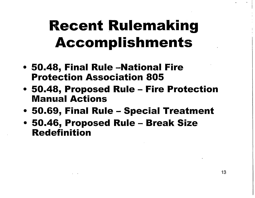## Recent Rulemaking **Accomplishments**

- **\*** 50.48, Final Rule -National Fire Protection Association 805
- **\*** 50.48, Proposed Rule Fire Protection Manual Actions
- **\*** 50.69, Final Rule Special Treatment
- **\*** 50.46, Proposed Rule Break Size Redefinition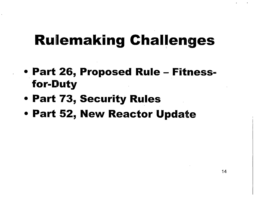#### **Rulemaking Challenges**

- \* Part **26,** Proposed Rule **Fitness** for-Duty
- **\*** Part 73, Security Rules
- **\*** Part 52, New Reactor Update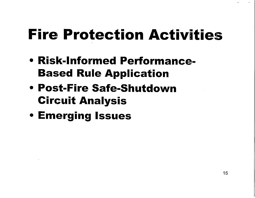## Fire Protection Activities

- \* Risk-Informed Performance-Based Rule Application
- \* Post-Fire Safe-Shutdown Circuit Analysis
- **. Emerging Issues**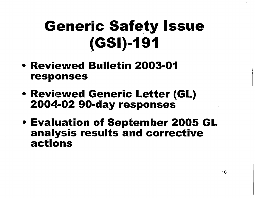# Generic **Safety** Issue **(GSI)-1 91**

- **\*** Reviewed Bulletin **2003-01** responses
- **\*** Reviewed Generic Letter (GL) 2004-02 90-day responses
- e Evaluation of September 2005 GL analysis results and corrective actions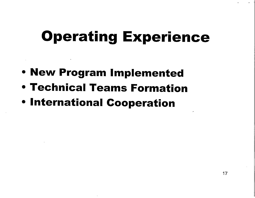#### **Operating Experience**

- **\*** New Program Implemented
- **\*** Technical Teams Formation
- \* International Cooperation